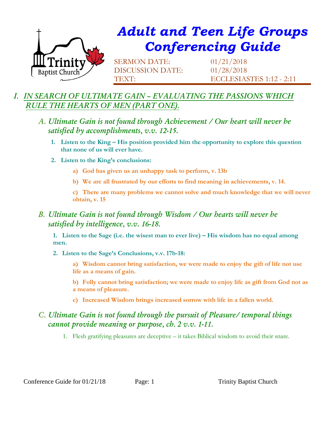

# *Adult and Teen Life Groups Conferencing Guide*

SERMON DATE: 01/21/2018 DISCUSSION DATE: 01/28/2018

TEXT: ECCLESIASTES 1:12 - 2:11

# *I. IN SEARCH OF ULTIMATE GAIN – EVALUATING THE PASSIONS WHICH RULE THE HEARTS OF MEN (PART ONE).*

- *A. Ultimate Gain is not found through Achievement / Our heart will never be satisfied by accomplishments, v.v. 12-15.*
	- **1. Listen to the King – His position provided him the opportunity to explore this question that none of us will ever have.**
	- **2. Listen to the King's conclusions:**
		- **a) God has given us an unhappy task to perform, v. 13b**
		- **b) We are all frustrated by our efforts to find meaning in achievements, v. 14.**

**c) There are many problems we cannot solve and much knowledge that we will never obtain, v. 15**

#### *B. Ultimate Gain is not found through Wisdom / Our hearts will never be satisfied by intelligence, v.v. 16-18.*

**1. Listen to the Sage (i.e. the wisest man to ever live) – His wisdom has no equal among men.**

**2. Listen to the Sage's Conclusions, v.v. 17b-18:**

**a) Wisdom cannot bring satisfaction, we were made to enjoy the gift of life not use life as a means of gain.**

**b) Folly cannot bring satisfaction; we were made to enjoy life as gift from God not as a means of pleasure.**

**c) Increased Wisdom brings increased sorrow with life in a fallen world.** 

## *C. Ultimate Gain is not found through the pursuit of Pleasure/ temporal things cannot provide meaning or purpose, ch. 2 v.v. 1-11.*

1. Flesh gratifying pleasures are deceptive – it takes Biblical wisdom to avoid their snare.